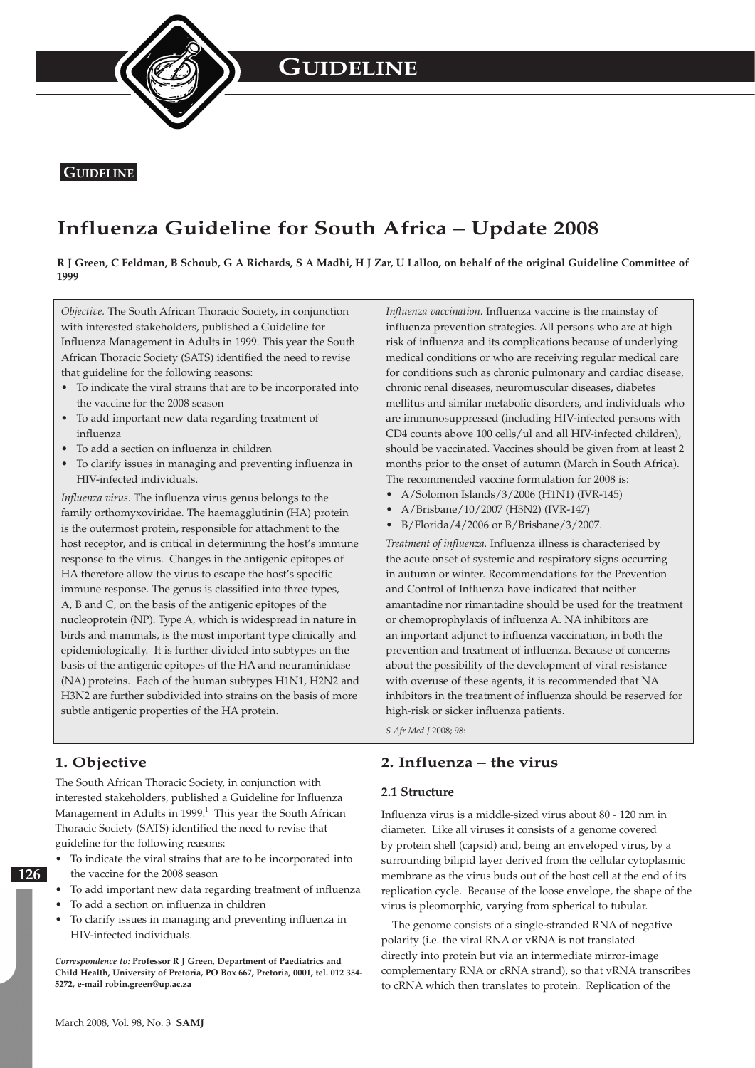

## **Influenza Guideline for South Africa – Update 2008**

**R J Green, C Feldman, B Schoub, G A Richards, S A Madhi, H J Zar, U Lalloo, on behalf of the original Guideline Committee of 1999**

*Objective.* The South African Thoracic Society, in conjunction with interested stakeholders, published a Guideline for Influenza Management in Adults in 1999. This year the South African Thoracic Society (SATS) identified the need to revise that guideline for the following reasons:

- To indicate the viral strains that are to be incorporated into the vaccine for the 2008 season
- To add important new data regarding treatment of influenza
- To add a section on influenza in children
- To clarify issues in managing and preventing influenza in HIV-infected individuals.

*Influenza virus.* The influenza virus genus belongs to the family orthomyxoviridae. The haemagglutinin (HA) protein is the outermost protein, responsible for attachment to the host receptor, and is critical in determining the host's immune response to the virus. Changes in the antigenic epitopes of HA therefore allow the virus to escape the host's specific immune response. The genus is classified into three types, A, B and C, on the basis of the antigenic epitopes of the nucleoprotein (NP). Type A, which is widespread in nature in birds and mammals, is the most important type clinically and epidemiologically. It is further divided into subtypes on the basis of the antigenic epitopes of the HA and neuraminidase (NA) proteins. Each of the human subtypes H1N1, H2N2 and H3N2 are further subdivided into strains on the basis of more subtle antigenic properties of the HA protein.

*Influenza vaccination.* Influenza vaccine is the mainstay of influenza prevention strategies. All persons who are at high risk of influenza and its complications because of underlying medical conditions or who are receiving regular medical care for conditions such as chronic pulmonary and cardiac disease, chronic renal diseases, neuromuscular diseases, diabetes mellitus and similar metabolic disorders, and individuals who are immunosuppressed (including HIV-infected persons with CD4 counts above 100 cells/µl and all HIV-infected children), should be vaccinated. Vaccines should be given from at least 2 months prior to the onset of autumn (March in South Africa). The recommended vaccine formulation for 2008 is:

- A/Solomon Islands/3/2006 (H1N1) (IVR-145)
- A/Brisbane/10/2007 (H3N2) (IVR-147)
- B/Florida/4/2006 or B/Brisbane/3/2007.

*Treatment of influenza.* Influenza illness is characterised by the acute onset of systemic and respiratory signs occurring in autumn or winter. Recommendations for the Prevention and Control of Influenza have indicated that neither amantadine nor rimantadine should be used for the treatment or chemoprophylaxis of influenza A. NA inhibitors are an important adjunct to influenza vaccination, in both the prevention and treatment of influenza. Because of concerns about the possibility of the development of viral resistance with overuse of these agents, it is recommended that NA inhibitors in the treatment of influenza should be reserved for high-risk or sicker influenza patients.

*S Afr Med J* 2008; 98:

## **1. Objective**

The South African Thoracic Society, in conjunction with interested stakeholders, published a Guideline for Influenza Management in Adults in 1999.<sup>1</sup> This year the South African Thoracic Society (SATS) identified the need to revise that guideline for the following reasons:

- **126**
- To indicate the viral strains that are to be incorporated into the vaccine for the 2008 season
- To add important new data regarding treatment of influenza
- To add a section on influenza in children
- To clarify issues in managing and preventing influenza in HIV-infected individuals.

*Correspondence to:* **Professor R J Green, Department of Paediatrics and Child Health, University of Pretoria, PO Box 667, Pretoria, 0001, tel. 012 354- 5272, e-mail robin.green@up.ac.za** 

## **2. Influenza – the virus**

#### **2.1 Structure**

Influenza virus is a middle-sized virus about 80 - 120 nm in diameter. Like all viruses it consists of a genome covered by protein shell (capsid) and, being an enveloped virus, by a surrounding bilipid layer derived from the cellular cytoplasmic membrane as the virus buds out of the host cell at the end of its replication cycle. Because of the loose envelope, the shape of the virus is pleomorphic, varying from spherical to tubular.

The genome consists of a single-stranded RNA of negative polarity (i.e. the viral RNA or vRNA is not translated directly into protein but via an intermediate mirror-image complementary RNA or cRNA strand), so that vRNA transcribes to cRNA which then translates to protein. Replication of the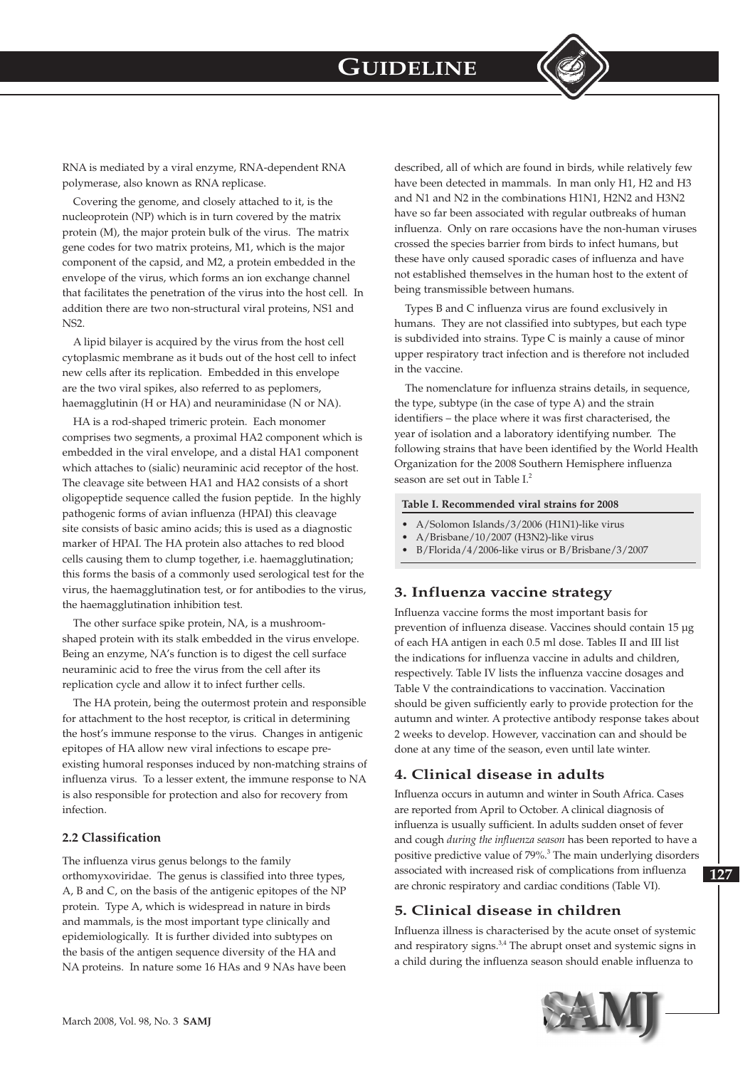

RNA is mediated by a viral enzyme, RNA-dependent RNA polymerase, also known as RNA replicase.

Covering the genome, and closely attached to it, is the nucleoprotein (NP) which is in turn covered by the matrix protein (M), the major protein bulk of the virus. The matrix gene codes for two matrix proteins, M1, which is the major component of the capsid, and M2, a protein embedded in the envelope of the virus, which forms an ion exchange channel that facilitates the penetration of the virus into the host cell. In addition there are two non-structural viral proteins, NS1 and NS2.

A lipid bilayer is acquired by the virus from the host cell cytoplasmic membrane as it buds out of the host cell to infect new cells after its replication. Embedded in this envelope are the two viral spikes, also referred to as peplomers, haemagglutinin (H or HA) and neuraminidase (N or NA).

HA is a rod-shaped trimeric protein. Each monomer comprises two segments, a proximal HA2 component which is embedded in the viral envelope, and a distal HA1 component which attaches to (sialic) neuraminic acid receptor of the host. The cleavage site between HA1 and HA2 consists of a short oligopeptide sequence called the fusion peptide. In the highly pathogenic forms of avian influenza (HPAI) this cleavage site consists of basic amino acids; this is used as a diagnostic marker of HPAI. The HA protein also attaches to red blood cells causing them to clump together, i.e. haemagglutination; this forms the basis of a commonly used serological test for the virus, the haemagglutination test, or for antibodies to the virus, the haemagglutination inhibition test.

The other surface spike protein, NA, is a mushroomshaped protein with its stalk embedded in the virus envelope. Being an enzyme, NA's function is to digest the cell surface neuraminic acid to free the virus from the cell after its replication cycle and allow it to infect further cells.

The HA protein, being the outermost protein and responsible for attachment to the host receptor, is critical in determining the host's immune response to the virus. Changes in antigenic epitopes of HA allow new viral infections to escape preexisting humoral responses induced by non-matching strains of influenza virus. To a lesser extent, the immune response to NA is also responsible for protection and also for recovery from infection.

#### **2.2 Classification**

The influenza virus genus belongs to the family orthomyxoviridae. The genus is classified into three types, A, B and C, on the basis of the antigenic epitopes of the NP protein. Type A, which is widespread in nature in birds and mammals, is the most important type clinically and epidemiologically. It is further divided into subtypes on the basis of the antigen sequence diversity of the HA and NA proteins. In nature some 16 HAs and 9 NAs have been

described, all of which are found in birds, while relatively few have been detected in mammals. In man only H1, H2 and H3 and N1 and N2 in the combinations H1N1, H2N2 and H3N2 have so far been associated with regular outbreaks of human influenza. Only on rare occasions have the non-human viruses crossed the species barrier from birds to infect humans, but these have only caused sporadic cases of influenza and have not established themselves in the human host to the extent of being transmissible between humans.

Types B and C influenza virus are found exclusively in humans. They are not classified into subtypes, but each type is subdivided into strains. Type C is mainly a cause of minor upper respiratory tract infection and is therefore not included in the vaccine.

The nomenclature for influenza strains details, in sequence, the type, subtype (in the case of type A) and the strain identifiers – the place where it was first characterised, the year of isolation and a laboratory identifying number. The following strains that have been identified by the World Health Organization for the 2008 Southern Hemisphere influenza season are set out in Table I.<sup>2</sup>

#### **Table I. Recommended viral strains for 2008**

- A/Solomon Islands/3/2006 (H1N1)-like virus
- $A/Brisbane/10/2007$  (H3N2)-like virus<br>•  $B/Florida/4/2006-like virus or B/Brish$
- B/Florida/4/2006-like virus or B/Brisbane/3/2007

## **3. Influenza vaccine strategy**

Influenza vaccine forms the most important basis for prevention of influenza disease. Vaccines should contain 15 µg of each HA antigen in each 0.5 ml dose. Tables II and III list the indications for influenza vaccine in adults and children, respectively. Table IV lists the influenza vaccine dosages and Table V the contraindications to vaccination. Vaccination should be given sufficiently early to provide protection for the autumn and winter. A protective antibody response takes about 2 weeks to develop. However, vaccination can and should be done at any time of the season, even until late winter.

## **4. Clinical disease in adults**

Influenza occurs in autumn and winter in South Africa. Cases are reported from April to October. A clinical diagnosis of influenza is usually sufficient. In adults sudden onset of fever and cough *during the influenza season* has been reported to have a positive predictive value of 79%.<sup>3</sup> The main underlying disorders associated with increased risk of complications from influenza are chronic respiratory and cardiac conditions (Table VI).

## **5. Clinical disease in children**

Influenza illness is characterised by the acute onset of systemic and respiratory signs.<sup>3,4</sup> The abrupt onset and systemic signs in a child during the influenza season should enable influenza to

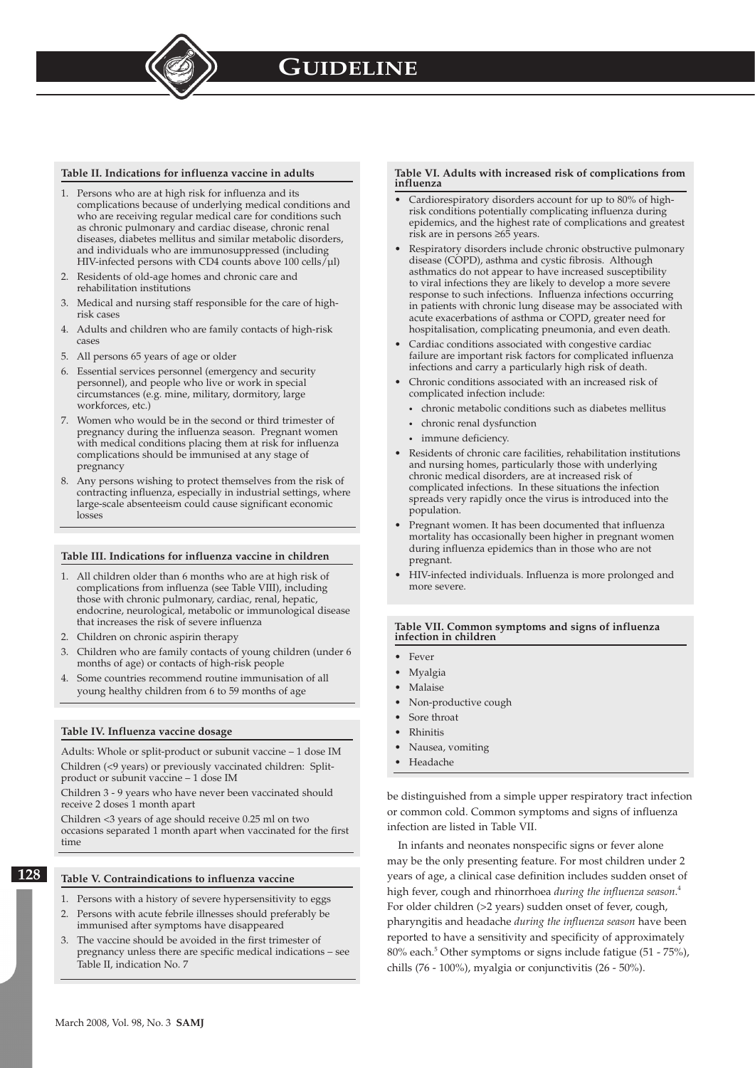#### **Table II. Indications for influenza vaccine in adults**

- 1. Persons who are at high risk for influenza and its complications because of underlying medical conditions and who are receiving regular medical care for conditions such as chronic pulmonary and cardiac disease, chronic renal diseases, diabetes mellitus and similar metabolic disorders, and individuals who are immunosuppressed (including HIV-infected persons with CD4 counts above 100 cells/µl)
- 2. Residents of old-age homes and chronic care and rehabilitation institutions
- 3. Medical and nursing staff responsible for the care of highrisk cases
- 4. Adults and children who are family contacts of high-risk cases
- 5. All persons 65 years of age or older
- 6. Essential services personnel (emergency and security personnel), and people who live or work in special circumstances (e.g. mine, military, dormitory, large workforces, etc.)
- 7. Women who would be in the second or third trimester of pregnancy during the influenza season. Pregnant women with medical conditions placing them at risk for influenza complications should be immunised at any stage of pregnancy
- 8. Any persons wishing to protect themselves from the risk of contracting influenza, especially in industrial settings, where large-scale absenteeism could cause significant economic losses

#### **Table III. Indications for influenza vaccine in children**

- 1. All children older than 6 months who are at high risk of complications from influenza (see Table VIII), including those with chronic pulmonary, cardiac, renal, hepatic, endocrine, neurological, metabolic or immunological disease that increases the risk of severe influenza
- 2. Children on chronic aspirin therapy
- 3. Children who are family contacts of young children (under 6 months of age) or contacts of high-risk people
- 4. Some countries recommend routine immunisation of all young healthy children from 6 to 59 months of age

#### **Table IV. Influenza vaccine dosage**

Adults: Whole or split-product or subunit vaccine – 1 dose IM Children (<9 years) or previously vaccinated children: Splitproduct or subunit vaccine – 1 dose IM

Children 3 - 9 years who have never been vaccinated should receive 2 doses 1 month apart

Children <3 years of age should receive 0.25 ml on two occasions separated 1 month apart when vaccinated for the first time

#### **Table V. Contraindications to influenza vaccine**

- 1. Persons with a history of severe hypersensitivity to eggs
- 2. Persons with acute febrile illnesses should preferably be immunised after symptoms have disappeared
- 3. The vaccine should be avoided in the first trimester of pregnancy unless there are specific medical indications – see Table II, indication No. 7

#### **Table VI. Adults with increased risk of complications from influenza**

- Cardiorespiratory disorders account for up to 80% of highrisk conditions potentially complicating influenza during epidemics, and the highest rate of complications and greatest risk are in persons ≥65 years.
- Respiratory disorders include chronic obstructive pulmonary disease (COPD), asthma and cystic fibrosis. Although asthmatics do not appear to have increased susceptibility to viral infections they are likely to develop a more severe response to such infections. Influenza infections occurring in patients with chronic lung disease may be associated with acute exacerbations of asthma or COPD, greater need for hospitalisation, complicating pneumonia, and even death.
- Cardiac conditions associated with congestive cardiac failure are important risk factors for complicated influenza infections and carry a particularly high risk of death.
- Chronic conditions associated with an increased risk of complicated infection include:
	- chronic metabolic conditions such as diabetes mellitus
	- chronic renal dysfunction
	- immune deficiency.
- Residents of chronic care facilities, rehabilitation institutions and nursing homes, particularly those with underlying chronic medical disorders, are at increased risk of complicated infections. In these situations the infection spreads very rapidly once the virus is introduced into the population.
- Pregnant women. It has been documented that influenza mortality has occasionally been higher in pregnant women during influenza epidemics than in those who are not pregnant.
- HIV-infected individuals. Influenza is more prolonged and more severe.

#### **Table VII. Common symptoms and signs of influenza infection in children**

- Fever
- Myalgia
- Malaise
- Non-productive cough
- Sore throat
- Rhinitis
- Nausea, vomiting
- Headache

be distinguished from a simple upper respiratory tract infection or common cold. Common symptoms and signs of influenza infection are listed in Table VII.

In infants and neonates nonspecific signs or fever alone may be the only presenting feature. For most children under 2 years of age, a clinical case definition includes sudden onset of high fever, cough and rhinorrhoea *during the influenza season*. 4 For older children (>2 years) sudden onset of fever, cough, pharyngitis and headache *during the influenza season* have been reported to have a sensitivity and specificity of approximately 80% each.<sup>5</sup> Other symptoms or signs include fatigue (51 - 75%), chills (76 - 100%), myalgia or conjunctivitis (26 - 50%).

**128**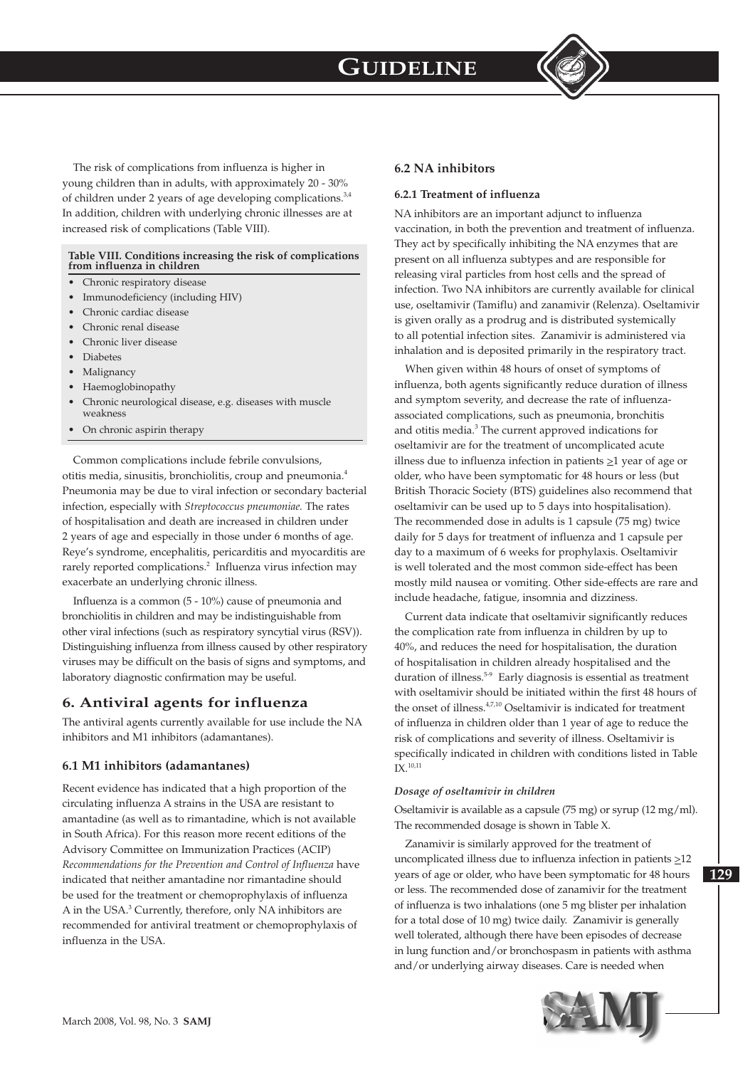

The risk of complications from influenza is higher in young children than in adults, with approximately 20 - 30% of children under 2 years of age developing complications.<sup>3,4</sup> In addition, children with underlying chronic illnesses are at increased risk of complications (Table VIII).

#### **Table VIII. Conditions increasing the risk of complications from influenza in children**

- Chronic respiratory disease
- Immunodeficiency (including HIV)
- Chronic cardiac disease
- Chronic renal disease
- Chronic liver disease
- Diabetes
- Malignancy
- Haemoglobinopathy
- Chronic neurological disease, e.g. diseases with muscle weakness
- On chronic aspirin therapy

Common complications include febrile convulsions, otitis media, sinusitis, bronchiolitis, croup and pneumonia.<sup>4</sup> Pneumonia may be due to viral infection or secondary bacterial infection, especially with *Streptococcus pneumoniae.* The rates of hospitalisation and death are increased in children under 2 years of age and especially in those under 6 months of age. Reye's syndrome, encephalitis, pericarditis and myocarditis are rarely reported complications.<sup>2</sup> Influenza virus infection may exacerbate an underlying chronic illness.

Influenza is a common (5 - 10%) cause of pneumonia and bronchiolitis in children and may be indistinguishable from other viral infections (such as respiratory syncytial virus (RSV)). Distinguishing influenza from illness caused by other respiratory viruses may be difficult on the basis of signs and symptoms, and laboratory diagnostic confirmation may be useful.

### **6. Antiviral agents for influenza**

The antiviral agents currently available for use include the NA inhibitors and M1 inhibitors (adamantanes).

#### **6.1 M1 inhibitors (adamantanes)**

Recent evidence has indicated that a high proportion of the circulating influenza A strains in the USA are resistant to amantadine (as well as to rimantadine, which is not available in South Africa). For this reason more recent editions of the Advisory Committee on Immunization Practices (ACIP) *Recommendations for the Prevention and Control of Influenza* have indicated that neither amantadine nor rimantadine should be used for the treatment or chemoprophylaxis of influenza A in the USA.<sup>3</sup> Currently, therefore, only NA inhibitors are recommended for antiviral treatment or chemoprophylaxis of influenza in the USA.

### **6.2 NA inhibitors**

#### **6.2.1 Treatment of influenza**

NA inhibitors are an important adjunct to influenza vaccination, in both the prevention and treatment of influenza. They act by specifically inhibiting the NA enzymes that are present on all influenza subtypes and are responsible for releasing viral particles from host cells and the spread of infection. Two NA inhibitors are currently available for clinical use, oseltamivir (Tamiflu) and zanamivir (Relenza). Oseltamivir is given orally as a prodrug and is distributed systemically to all potential infection sites. Zanamivir is administered via inhalation and is deposited primarily in the respiratory tract.

When given within 48 hours of onset of symptoms of influenza, both agents significantly reduce duration of illness and symptom severity, and decrease the rate of influenzaassociated complications, such as pneumonia, bronchitis and otitis media.<sup>3</sup> The current approved indications for oseltamivir are for the treatment of uncomplicated acute illness due to influenza infection in patients  $\geq 1$  year of age or older, who have been symptomatic for 48 hours or less (but British Thoracic Society (BTS) guidelines also recommend that oseltamivir can be used up to 5 days into hospitalisation). The recommended dose in adults is 1 capsule (75 mg) twice daily for 5 days for treatment of influenza and 1 capsule per day to a maximum of 6 weeks for prophylaxis. Oseltamivir is well tolerated and the most common side-effect has been mostly mild nausea or vomiting. Other side-effects are rare and include headache, fatigue, insomnia and dizziness.

Current data indicate that oseltamivir significantly reduces the complication rate from influenza in children by up to 40%, and reduces the need for hospitalisation, the duration of hospitalisation in children already hospitalised and the duration of illness.5-9 Early diagnosis is essential as treatment with oseltamivir should be initiated within the first 48 hours of the onset of illness.<sup>4,7,10</sup> Oseltamivir is indicated for treatment of influenza in children older than 1 year of age to reduce the risk of complications and severity of illness. Oseltamivir is specifically indicated in children with conditions listed in Table  $IX.<sup>10,11</sup>$ 

#### *Dosage of oseltamivir in children*

Oseltamivir is available as a capsule (75 mg) or syrup (12 mg/ml). The recommended dosage is shown in Table X.

Zanamivir is similarly approved for the treatment of uncomplicated illness due to influenza infection in patients  $\geq$ 12 years of age or older, who have been symptomatic for 48 hours or less. The recommended dose of zanamivir for the treatment of influenza is two inhalations (one 5 mg blister per inhalation for a total dose of 10 mg) twice daily. Zanamivir is generally well tolerated, although there have been episodes of decrease in lung function and/or bronchospasm in patients with asthma and/or underlying airway diseases. Care is needed when



**129**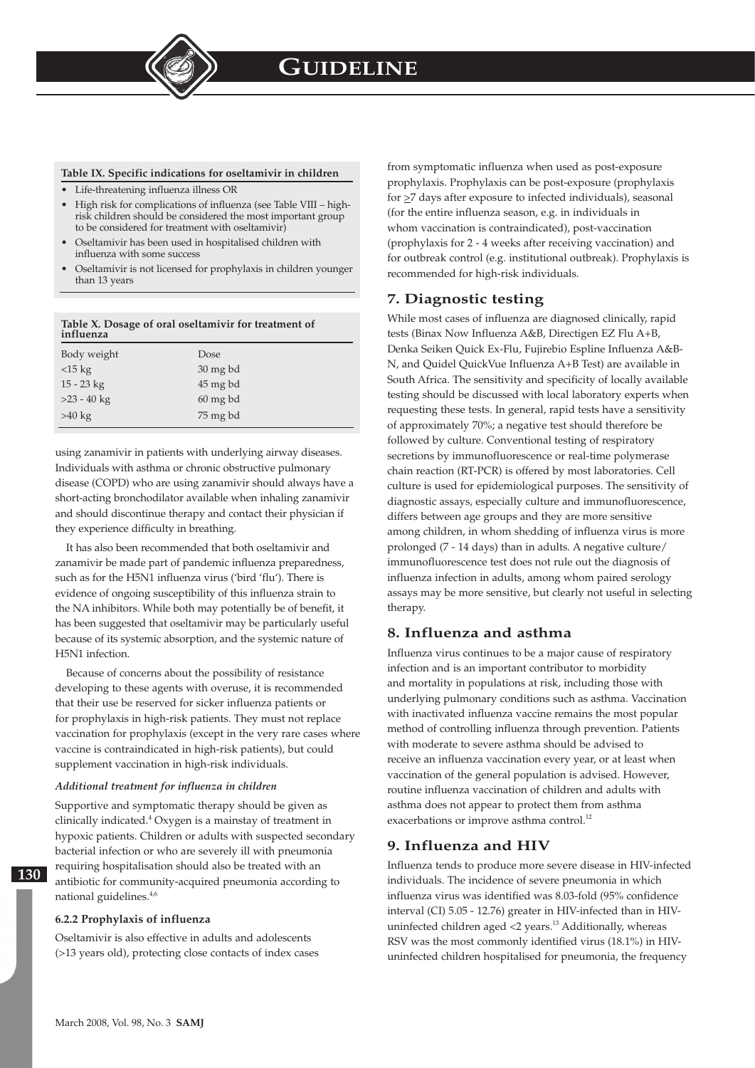#### **Table IX. Specific indications for oseltamivir in children**

- Life-threatening influenza illness OR
- High risk for complications of influenza (see Table VIII highrisk children should be considered the most important group to be considered for treatment with oseltamivir)
- Oseltamivir has been used in hospitalised children with influenza with some success
- Oseltamivir is not licensed for prophylaxis in children younger than 13 years

#### **Table X. Dosage of oral oseltamivir for treatment of influenza**

| Body weight   | Dose                  |
|---------------|-----------------------|
| $<15$ kg      | $30 \,\mathrm{mg}$ bd |
| $15 - 23$ kg  | 45 mg bd              |
| $>23 - 40$ kg | $60 \,\mathrm{mg}$ bd |
| $>40$ kg      | 75 mg bd              |

using zanamivir in patients with underlying airway diseases. Individuals with asthma or chronic obstructive pulmonary disease (COPD) who are using zanamivir should always have a short-acting bronchodilator available when inhaling zanamivir and should discontinue therapy and contact their physician if they experience difficulty in breathing.

It has also been recommended that both oseltamivir and zanamivir be made part of pandemic influenza preparedness, such as for the H5N1 influenza virus ('bird 'flu'). There is evidence of ongoing susceptibility of this influenza strain to the NA inhibitors. While both may potentially be of benefit, it has been suggested that oseltamivir may be particularly useful because of its systemic absorption, and the systemic nature of H5N1 infection.

Because of concerns about the possibility of resistance developing to these agents with overuse, it is recommended that their use be reserved for sicker influenza patients or for prophylaxis in high-risk patients. They must not replace vaccination for prophylaxis (except in the very rare cases where vaccine is contraindicated in high-risk patients), but could supplement vaccination in high-risk individuals.

#### *Additional treatment for influenza in children*

Supportive and symptomatic therapy should be given as clinically indicated.<sup>4</sup> Oxygen is a mainstay of treatment in hypoxic patients. Children or adults with suspected secondary bacterial infection or who are severely ill with pneumonia requiring hospitalisation should also be treated with an antibiotic for community-acquired pneumonia according to national guidelines.4,6

#### **6.2.2 Prophylaxis of influenza**

Oseltamivir is also effective in adults and adolescents (>13 years old), protecting close contacts of index cases from symptomatic influenza when used as post-exposure prophylaxis. Prophylaxis can be post-exposure (prophylaxis for  $\geq$ 7 days after exposure to infected individuals), seasonal (for the entire influenza season, e.g. in individuals in whom vaccination is contraindicated), post-vaccination (prophylaxis for 2 - 4 weeks after receiving vaccination) and for outbreak control (e.g. institutional outbreak). Prophylaxis is recommended for high-risk individuals.

## **7. Diagnostic testing**

While most cases of influenza are diagnosed clinically, rapid tests (Binax Now Influenza A&B, Directigen EZ Flu A+B, Denka Seiken Quick Ex-Flu, Fujirebio Espline Influenza A&B-N, and Quidel QuickVue Influenza A+B Test) are available in South Africa. The sensitivity and specificity of locally available testing should be discussed with local laboratory experts when requesting these tests. In general, rapid tests have a sensitivity of approximately 70%; a negative test should therefore be followed by culture. Conventional testing of respiratory secretions by immunofluorescence or real-time polymerase chain reaction (RT-PCR) is offered by most laboratories. Cell culture is used for epidemiological purposes. The sensitivity of diagnostic assays, especially culture and immunofluorescence, differs between age groups and they are more sensitive among children, in whom shedding of influenza virus is more prolonged (7 - 14 days) than in adults. A negative culture/ immunofluorescence test does not rule out the diagnosis of influenza infection in adults, among whom paired serology assays may be more sensitive, but clearly not useful in selecting therapy.

### **8. Influenza and asthma**

Influenza virus continues to be a major cause of respiratory infection and is an important contributor to morbidity and mortality in populations at risk, including those with underlying pulmonary conditions such as asthma. Vaccination with inactivated influenza vaccine remains the most popular method of controlling influenza through prevention. Patients with moderate to severe asthma should be advised to receive an influenza vaccination every year, or at least when vaccination of the general population is advised. However, routine influenza vaccination of children and adults with asthma does not appear to protect them from asthma exacerbations or improve asthma control.<sup>12</sup>

### **9. Influenza and HIV**

Influenza tends to produce more severe disease in HIV-infected individuals. The incidence of severe pneumonia in which influenza virus was identified was 8.03-fold (95% confidence interval (CI) 5.05 - 12.76) greater in HIV-infected than in HIVuninfected children aged  $<$ 2 years.<sup>13</sup> Additionally, whereas RSV was the most commonly identified virus (18.1%) in HIVuninfected children hospitalised for pneumonia, the frequency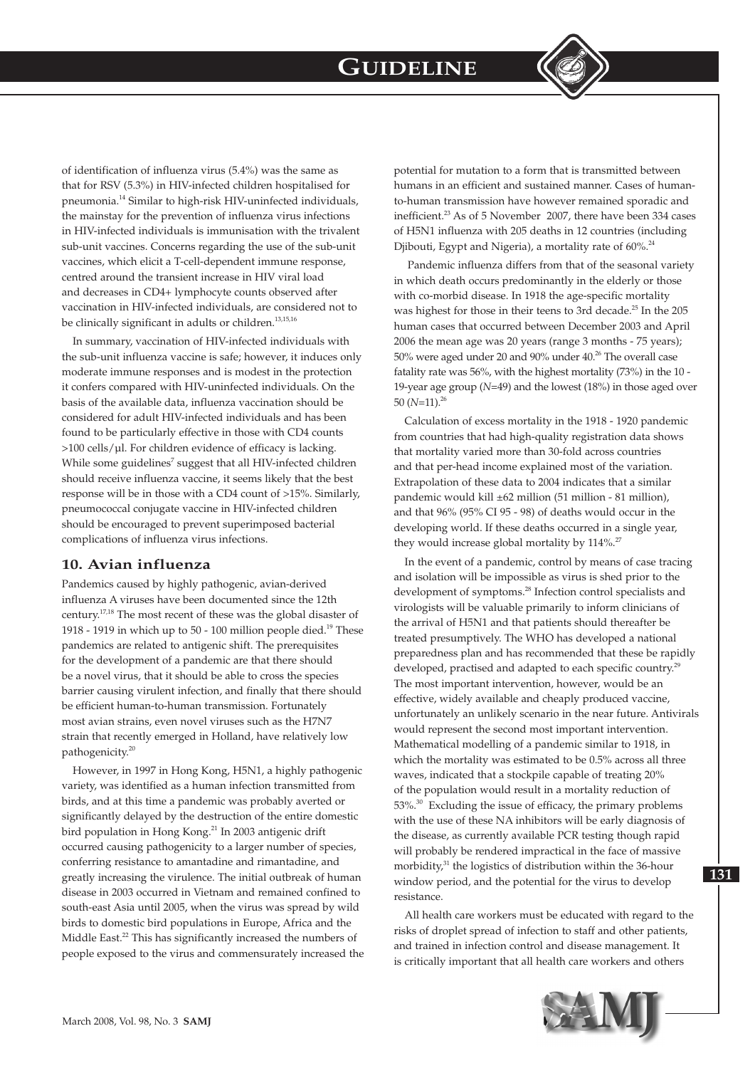

of identification of influenza virus (5.4%) was the same as that for RSV (5.3%) in HIV-infected children hospitalised for pneumonia.14 Similar to high-risk HIV-uninfected individuals, the mainstay for the prevention of influenza virus infections in HIV-infected individuals is immunisation with the trivalent sub-unit vaccines. Concerns regarding the use of the sub-unit vaccines, which elicit a T-cell-dependent immune response, centred around the transient increase in HIV viral load and decreases in CD4+ lymphocyte counts observed after vaccination in HIV-infected individuals, are considered not to be clinically significant in adults or children.<sup>13,15,16</sup>

In summary, vaccination of HIV-infected individuals with the sub-unit influenza vaccine is safe; however, it induces only moderate immune responses and is modest in the protection it confers compared with HIV-uninfected individuals. On the basis of the available data, influenza vaccination should be considered for adult HIV-infected individuals and has been found to be particularly effective in those with CD4 counts >100 cells/µl. For children evidence of efficacy is lacking. While some guidelines<sup>7</sup> suggest that all HIV-infected children should receive influenza vaccine, it seems likely that the best response will be in those with a CD4 count of >15%. Similarly, pneumococcal conjugate vaccine in HIV-infected children should be encouraged to prevent superimposed bacterial complications of influenza virus infections.

## **10. Avian influenza**

Pandemics caused by highly pathogenic, avian-derived influenza A viruses have been documented since the 12th century.17,18 The most recent of these was the global disaster of 1918 - 1919 in which up to  $50$  - 100 million people died.<sup>19</sup> These pandemics are related to antigenic shift. The prerequisites for the development of a pandemic are that there should be a novel virus, that it should be able to cross the species barrier causing virulent infection, and finally that there should be efficient human-to-human transmission. Fortunately most avian strains, even novel viruses such as the H7N7 strain that recently emerged in Holland, have relatively low pathogenicity.<sup>20</sup>

However, in 1997 in Hong Kong, H5N1, a highly pathogenic variety, was identified as a human infection transmitted from birds, and at this time a pandemic was probably averted or significantly delayed by the destruction of the entire domestic bird population in Hong Kong.<sup>21</sup> In 2003 antigenic drift occurred causing pathogenicity to a larger number of species, conferring resistance to amantadine and rimantadine, and greatly increasing the virulence. The initial outbreak of human disease in 2003 occurred in Vietnam and remained confined to south-east Asia until 2005, when the virus was spread by wild birds to domestic bird populations in Europe, Africa and the Middle East.<sup>22</sup> This has significantly increased the numbers of people exposed to the virus and commensurately increased the

potential for mutation to a form that is transmitted between humans in an efficient and sustained manner. Cases of humanto-human transmission have however remained sporadic and inefficient.<sup>23</sup> As of 5 November 2007, there have been 334 cases of H5N1 influenza with 205 deaths in 12 countries (including Djibouti, Egypt and Nigeria), a mortality rate of 60%.<sup>24</sup>

 Pandemic influenza differs from that of the seasonal variety in which death occurs predominantly in the elderly or those with co-morbid disease. In 1918 the age-specific mortality was highest for those in their teens to 3rd decade.<sup>25</sup> In the 205 human cases that occurred between December 2003 and April 2006 the mean age was 20 years (range 3 months - 75 years); 50% were aged under 20 and 90% under 40.26 The overall case fatality rate was 56%, with the highest mortality (73%) in the 10 - 19-year age group (*N*=49) and the lowest (18%) in those aged over 50  $(N=11).^{26}$ 

Calculation of excess mortality in the 1918 - 1920 pandemic from countries that had high-quality registration data shows that mortality varied more than 30-fold across countries and that per-head income explained most of the variation. Extrapolation of these data to 2004 indicates that a similar pandemic would kill ±62 million (51 million - 81 million), and that 96% (95% CI 95 - 98) of deaths would occur in the developing world. If these deaths occurred in a single year, they would increase global mortality by 114%.<sup>27</sup>

In the event of a pandemic, control by means of case tracing and isolation will be impossible as virus is shed prior to the development of symptoms.28 Infection control specialists and virologists will be valuable primarily to inform clinicians of the arrival of H5N1 and that patients should thereafter be treated presumptively. The WHO has developed a national preparedness plan and has recommended that these be rapidly developed, practised and adapted to each specific country.<sup>29</sup> The most important intervention, however, would be an effective, widely available and cheaply produced vaccine, unfortunately an unlikely scenario in the near future. Antivirals would represent the second most important intervention. Mathematical modelling of a pandemic similar to 1918, in which the mortality was estimated to be 0.5% across all three waves, indicated that a stockpile capable of treating 20% of the population would result in a mortality reduction of 53%.<sup>30</sup> Excluding the issue of efficacy, the primary problems with the use of these NA inhibitors will be early diagnosis of the disease, as currently available PCR testing though rapid will probably be rendered impractical in the face of massive morbidity,<sup>31</sup> the logistics of distribution within the 36-hour window period, and the potential for the virus to develop resistance.

All health care workers must be educated with regard to the risks of droplet spread of infection to staff and other patients, and trained in infection control and disease management. It is critically important that all health care workers and others